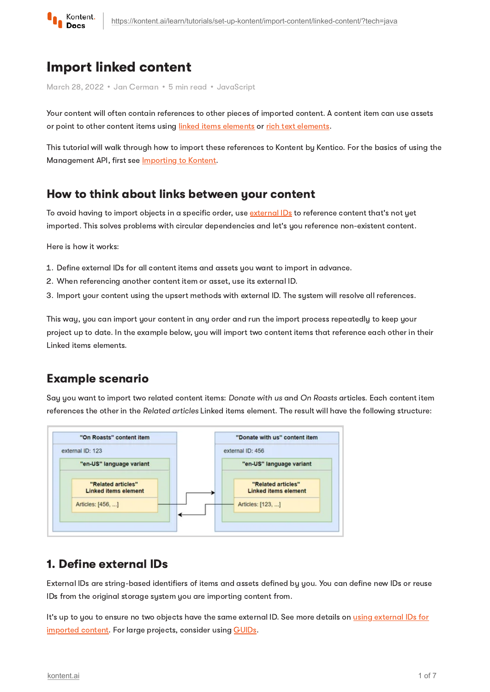

# Import linked content

March 28, 2022 • Jan Cerman • 5 min read • JavaScript

Your content will often contain references to other pieces of imported content. A content item can use assets or point to other content items using linked items [elements](https://kontent.ai/learn/tutorials/write-and-collaborate/structure-your-content/build-landing-pages/) or rich text [elements.](https://kontent.ai/learn/tutorials/write-and-collaborate/create-content/compose-content-in-rich-text/)

This tutorial will walk through how to import these references to Kontent by Kentico. For the basics of using the Management API, first see **[Importing](https://kontent.ai/learn/tutorials/set-up-kontent/import-content/overview/) to Kontent**.

## How to think about links between your content

To avoid having to import objects in a specific order, use [external](https://kontent.ai/learn/reference/management-api-v2/#section/External-IDs-for-imported-content) IDs to reference content that's not yet imported. This solves problems with circular dependencies and let's you reference non-existent content.

Here is how it works:

- 1. Define external IDs for all content items and assets you want to import in advance.
- 2 When referencing another content item or asset, use its external ID.
- 3. Import your content using the upsert methods with external ID. The system will resolve all references.

This way, you can import your content in any order and run the import process repeatedly to keep your project up to date. In the example below, you will import two content items that reference each other in their Linked items elements.

# Example scenario

Say you want to import two related content items: Donate with us and On Roasts articles. Each content item references the other in the Related articles Linked items element. The result will have the following structure:



## 1. Define external IDs

External IDs are string-based identifiers of items and assets defined by you. You can define new IDs or reuse IDs from the original storage system you are importing content from.

It's up to you to ensure no two objects have the same external ID. See more details on using external IDs for [imported](https://kontent.ai/learn/reference/management-api-v2/) content. For large projects, consider using [GUIDs.](https://betterexplained.com/articles/the-quick-guide-to-guids/)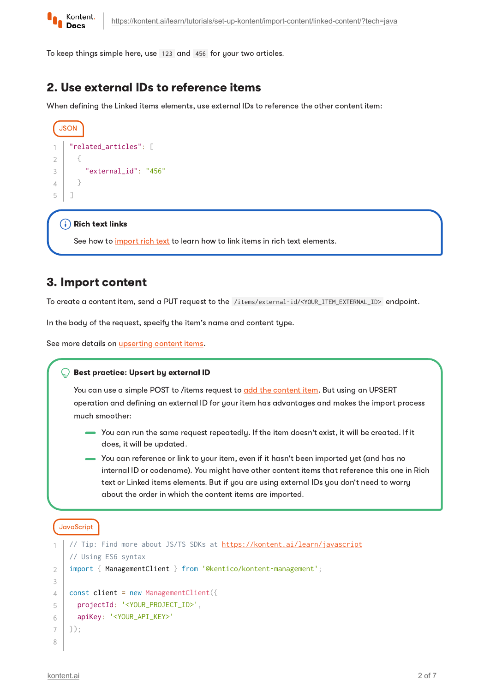

To keep things simple here, use 123 and 456 for your two articles.

## 2. Use external IDs to reference items

When defining the Linked items elements, use external IDs to reference the other content item:

```
JSON
    "related_articles": [
        {
          "external_id": "456"
        }
    ]
1
2
3
4
5
```
#### $(i)$  Rich text links

See how to *[import](https://kontent.ai/learn/tutorials/set-up-kontent/import-content/rich-text/) rich text* to learn how to link items in rich text elements.

## 3. Import content

To create a content item, send a PUT request to the /items/external-id/<YOUR\_ITEM\_EXTERNAL\_ID> endpoint.

In the body of the request, specify the item's name and content type.

See more details on **[upserting](https://kontent.ai/learn/reference/management-api-v2/#operation/upsert-a-content-item) content items**.

#### ◯ Best practice: Upsert by external ID

You can use a simple POST to /items request to add the [content](https://kontent.ai/learn/reference/management-api-v2/#operation/add-a-content-item) item. But using an UPSERT operation and defining an external ID for your item has advantages and makes the import process much smoother:

- You can run the same request repeatedly. If the item doesn't exist, it will be created. If it does, it will be updated.
- You can reference or link to your item, even if it hasn't been imported yet (and has no internal ID or codename). You might have other content items that reference this one in Rich text or Linked items elements. But if you are using external IDs you don't need to worry about the order in which the content items are imported.

#### JavaScript

```
 https://kontent.ai/learn/javascript
   // Using ES6 syntax
   import { ManagementClient } from '@kentico/kontent-management';
   const client = new ManagementClient({
      projectId: '<YOUR_PROJECT_ID>',
      apiKey: '<YOUR_API_KEY>'
   });
1
2
3
\Delta5
6
7
8
```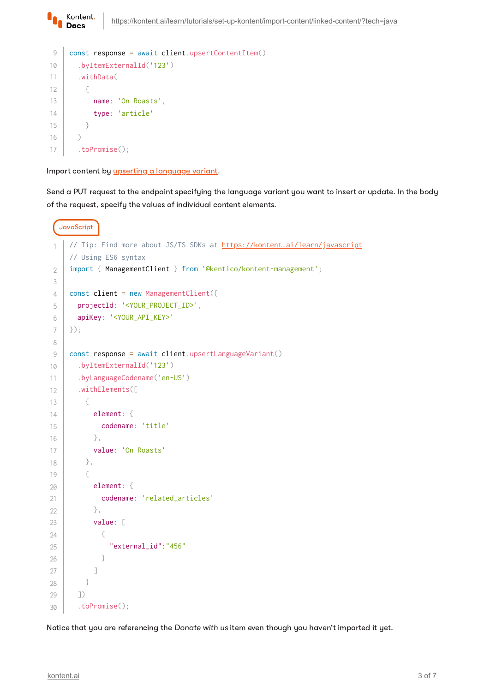```
const response = await client.upsertContentItem()
         .byItemExternalId('123')
         .withData(
           {
             name: 'On Roasts',
             type: 'article'
           }
        \lambda .toPromise();
9
10
11
12
13
14
15
16
17
```
Import content by *upserting a [language](https://kontent.ai/learn/reference/management-api-v2/#operation/upsert-a-language-variant) variant*.

Kontent. **Docs** 

Send a PUT request to the endpoint specifying the language variant you want to insert or update. In the body of the request, specify the values of individual content elements.

```
JavaScript
     https://kontent.ai/learn/javascript
     // Using ES6 syntax
    import { ManagementClient } from '@kentico/kontent-management';
    const client = new ManagementClient({
        projectId: '<YOUR_PROJECT_ID>',
        apiKey: '<YOUR_API_KEY>'
    });
    const response = await client.upsertLanguageVariant()
        .byItemExternalId('123')
        .byLanguageCodename('en-US')
        .withElements([
          {
            element: {
              codename: 'title'
            },
            value: 'On Roasts'
         },
          {
            element: {
              codename: 'related_articles'
            },
            value: [ 
              {
                "external_id":"456"
      }
            ]
          }
        ])
        .toPromise();
1
2
3
4
5
6
7
8
9
10
11
12
13
14
15
16
17
18
19
20
21
22
23
24
25
26
27
28
29
30
```
Notice that you are referencing the Donate with us item even though you haven't imported it yet.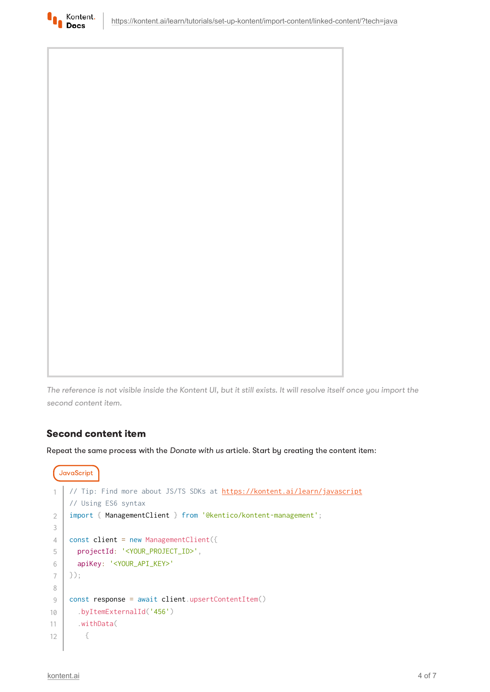



The reference is not visible inside the Kontent UI, but it still exists. It will resolve itself once you import the second content item.

### Second content item

Repeat the same process with the Donate with us article. Start by creating the content item:

```
JavaScript
   https://kontent.ai/learn/javascript
    // Using ES6 syntax
    import { ManagementClient } from '@kentico/kontent-management';
    const client = new ManagementClient({
      projectId: '<YOUR_PROJECT_ID>',
       apiKey: '<YOUR_API_KEY>'
   });
    const response = await client.upsertContentItem()
       .byItemExternalId('456')
       .withData(
        {
1
2
3
4
5
6
7
8
9
10
11
12
```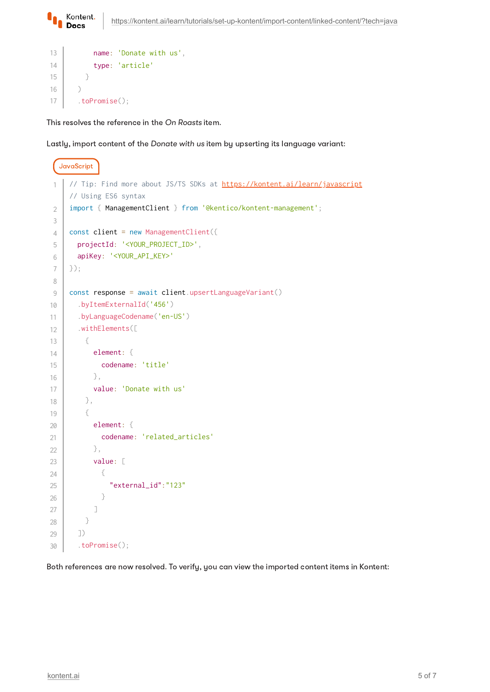

```
 name: 'Donate with us',
              type: 'article'
            }
        \lambda .toPromise();
13
14
15
16
17
```
This resolves the reference in the On Roasts item.

Lastly, import content of the Donate with us item by upserting its language variant:

```
JavaScript
      https://kontent.ai/learn/javascript
     // Using ES6 syntax
     import { ManagementClient } from '@kentico/kontent-management';
     const client = new ManagementClient({
        projectId: '<YOUR_PROJECT_ID>',
        apiKey: '<YOUR_API_KEY>'
    });
     const response = await client.upsertLanguageVariant()
        .byItemExternalId('456')
        .byLanguageCodename('en-US')
        .withElements([
          {
            element: {
              codename: 'title'
            },
            value: 'Donate with us'
          },
          {
            element: {
              codename: 'related_articles'
            },
            value: [ 
              {
                "external_id":"123"
              }
            ]
          }
        ])
        .toPromise();
 1
2
3
4
5
6
7
8
9
10
11
12
13
1415
16
17
18
19
20
21
22
23
24
25
26
27
28
29
30
```
Both references are now resolved. To verify, you can view the imported content items in Kontent: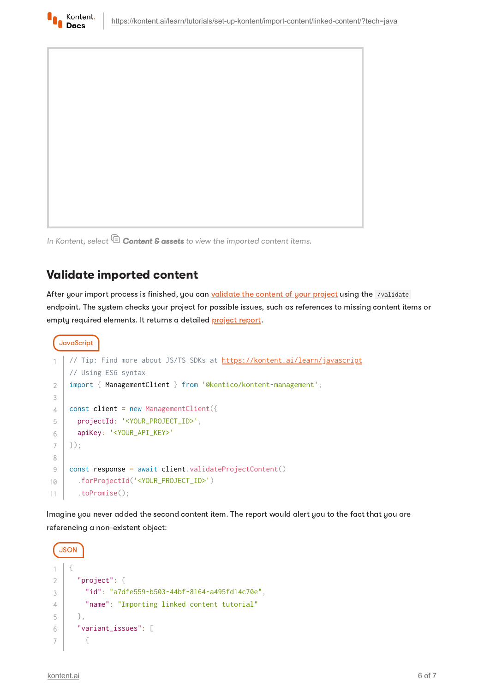



In Kontent, select  $\mathbb \mathbb G$  Content & assets to view the imported content items.

# Validate imported content

After your import process is finished, you can [validate](https://kontent.ai/learn/reference/management-api-v2/#operation/validate-project-content) the content of your project using the /validate endpoint. The system checks your project for possible issues, such as references to missing content items or empty required elements. It returns a detailed [project](https://kontent.ai/learn/reference/management-api-v2/#tag/Project-validation) report.

```
JavaScript
     https://kontent.ai/learn/javascript
    // Using ES6 syntax
    import { ManagementClient } from '@kentico/kontent-management';
    const client = new ManagementClient({
       projectId: '<YOUR_PROJECT_ID>',
       apiKey: '<YOUR_API_KEY>'
    });
    const response = await client.validateProjectContent()
       .forProjectId('<YOUR_PROJECT_ID>')
       .toPromise();
1
2
3
4
5
6
7
8
9
10
11
```
Imagine you never added the second content item. The report would alert you to the fact that you are referencing a non-existent object: